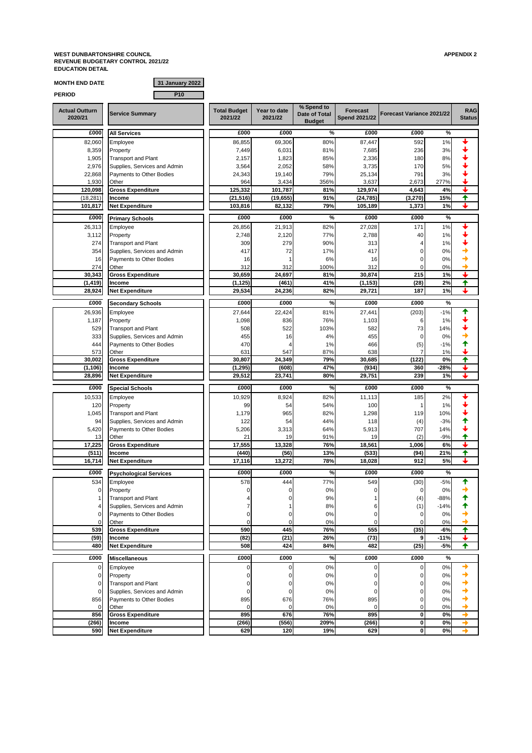**WEST DUNBARTONSHIRE COUNCIL APPENDIX 2 REVENUE BUDGETARY CONTROL 2021/22 EDUCATION DETAIL**

| <b>MONTH END DATE</b>            | 31 January 2022                                          |                                |                         |                                              |                                         |                           |              |                              |
|----------------------------------|----------------------------------------------------------|--------------------------------|-------------------------|----------------------------------------------|-----------------------------------------|---------------------------|--------------|------------------------------|
| <b>PERIOD</b>                    | P <sub>10</sub>                                          |                                |                         |                                              |                                         |                           |              |                              |
| <b>Actual Outturn</b><br>2020/21 | <b>Service Summary</b>                                   | <b>Total Budget</b><br>2021/22 | Year to date<br>2021/22 | % Spend to<br>Date of Total<br><b>Budget</b> | <b>Forecast</b><br><b>Spend 2021/22</b> | Forecast Variance 2021/22 |              | <b>RAG</b><br><b>Status</b>  |
| £000                             | <b>All Services</b>                                      | £000                           | £000                    | %                                            | £000                                    | £000                      | $\%$         |                              |
| 82,060                           | Employee                                                 | 86,855                         | 69,306                  | 80%                                          | 87,447                                  | 592                       | 1%           | ı                            |
| 8,359                            | Property                                                 | 7,449                          | 6,031                   | 81%                                          | 7,685                                   | 236                       | 3%           |                              |
| 1,905                            | <b>Transport and Plant</b>                               | 2,157                          | 1,823                   | 85%                                          | 2,336                                   | 180                       | 8%           |                              |
| 2,976                            | Supplies, Services and Admin                             | 3,564                          | 2,052                   | 58%                                          | 3,735                                   | 170                       | 5%           |                              |
| 22,868                           | Payments to Other Bodies                                 | 24,343                         | 19,140                  | 79%                                          | 25,134                                  | 791                       | 3%           |                              |
| 1,930<br>120,098                 | Other<br><b>Gross Expenditure</b>                        | 964<br>125,332                 | 3,434<br>101,787        | 356%<br>81%                                  | 3,637<br>129,974                        | 2,673<br>4,643            | 277%<br>4%   | ↓                            |
| (18, 281)                        | <b>Income</b>                                            | (21, 516)                      | (19, 655)               | 91%                                          | (24, 785)                               | (3,270)                   | 15%          | ✦                            |
| 101,817                          | <b>Net Expenditure</b>                                   | 103.816                        | 82,132                  | 79%                                          | 105,189                                 | 1,373                     | 1%           | ↓                            |
| £000                             | <b>Primary Schools</b>                                   | £000                           | £000                    | %                                            | £000                                    | £000                      | $\%$         |                              |
| 26,313                           | Employee                                                 | 26,856                         | 21,913                  | 82%                                          | 27,028                                  | 171                       | 1%           |                              |
| 3,112                            | Property                                                 | 2,748                          | 2,120                   | 77%                                          | 2,788                                   | 40                        | 1%           |                              |
| 274                              | <b>Transport and Plant</b>                               | 309                            | 279                     | 90%                                          | 313                                     | 4                         | 1%           |                              |
| 354                              | Supplies, Services and Admin                             | 417                            | 72                      | 17%                                          | 417                                     | 0                         | 0%           |                              |
| 16                               | Payments to Other Bodies                                 | 16                             |                         | 6%                                           | 16                                      | $\mathbf 0$               | 0%           |                              |
| 274                              | Other                                                    | 312                            | 312                     | 100%                                         | 312                                     | $\mathbf 0$               | 0%           |                              |
| 30,343                           | <b>Gross Expenditure</b>                                 | 30,659                         | 24,697                  | 81%                                          | 30,874                                  | 215                       | 1%           |                              |
| (1, 419)                         | Income                                                   | (1, 125)                       | (461)                   | 41%                                          | (1, 153)                                | (28)                      | 2%           | ✦                            |
| 28,924                           | <b>Net Expenditure</b>                                   | 29,534                         | 24,236                  | 82%                                          | 29,721                                  | 187                       | 1%           |                              |
| £000                             | <b>Secondary Schools</b>                                 | £000                           | £000                    | %                                            | £000                                    | £000                      | %            |                              |
| 26,936                           | Employee                                                 | 27,644                         | 22,424                  | 81%                                          | 27,441                                  | (203)                     | $-1%$        | ✦                            |
| 1,187                            | Property                                                 | 1,098                          | 836                     | 76%                                          | 1,103                                   | 6                         | 1%           |                              |
| 529                              | <b>Transport and Plant</b>                               | 508                            | 522                     | 103%                                         | 582                                     | 73                        | 14%          |                              |
| 333                              | Supplies, Services and Admin                             | 455                            | 16                      | 4%                                           | 455                                     | 0                         | 0%           |                              |
| 444<br>573                       | Payments to Other Bodies<br>Other                        | 470<br>631                     | 547                     | 1%<br>87%                                    | 466<br>638                              | (5)<br>7                  | $-1%$<br>1%  |                              |
| 30,002                           | <b>Gross Expenditure</b>                                 | 30,807                         | 24,349                  | 79%                                          | 30,685                                  | (122)                     | 0%           | ✦                            |
| (1, 106)                         | Income                                                   | (1, 295)                       | (608)                   | 47%                                          | (934)                                   | 360                       | $-28%$       | ┹                            |
| 28,896                           | <b>Net Expenditure</b>                                   | 29,512                         | 23,741                  | 80%                                          | 29,751                                  | 239                       | 1%           | ┹                            |
| £000                             | <b>Special Schools</b>                                   | £000                           | £000                    | %                                            | £000                                    | £000                      | %            |                              |
| 10,533                           | Employee                                                 | 10,929                         | 8,924                   | 82%                                          | 11,113                                  | 185                       | 2%           |                              |
| 120                              | Property                                                 | 99                             | 54                      | 54%                                          | 100                                     | $\overline{1}$            | 1%           |                              |
| 1,045                            | <b>Transport and Plant</b>                               | 1,179                          | 965                     | 82%                                          | 1,298                                   | 119                       | 10%          |                              |
| 94                               | Supplies, Services and Admin                             | 122                            | 54                      | 44%                                          | 118                                     | (4)                       | $-3%$        |                              |
| 5,420                            | Payments to Other Bodies                                 | 5,206                          | 3,313                   | 64%                                          | 5,913                                   | 707                       | 14%          |                              |
| 13                               | Other                                                    | 21                             | 19                      | 91%                                          | 19                                      | (2)                       | $-9%$        | ✦                            |
| 17,225                           | <b>Gross Expenditure</b>                                 | 17,555                         | 13,328                  | 76%                                          | 18,561                                  | 1,006                     | 6%           | ┹                            |
| (511)<br>16,714                  | Income<br><b>Net Expenditure</b>                         | (440)<br>17,116                | (56)<br>13,272          | 13%<br>78%                                   | (533)<br>18,028                         | (94)<br>912               | 21%<br>5%    | $\overline{\textbf{f}}$<br>J |
|                                  |                                                          |                                |                         |                                              |                                         |                           |              |                              |
| £000                             | <b>Psychological Services</b>                            | £000                           | £000                    | %                                            | £000                                    | £000                      | %            |                              |
| 534                              | Employee                                                 | 578                            | 444                     | 77%                                          | 549                                     | (30)                      | $-5%$        |                              |
| $\mathbf 0$                      | Property                                                 | $\mathbf 0$                    | 0                       | 0%                                           | 0                                       | 0                         | 0%           |                              |
| 1                                | <b>Transport and Plant</b>                               |                                | $\mathbf 0$             | 9%                                           | 1                                       | (4)                       | $-88%$       |                              |
| 4<br>$\mathbf 0$                 | Supplies, Services and Admin<br>Payments to Other Bodies | 0                              | 0                       | 8%<br>0%                                     | 6<br>0                                  | (1)<br>$\mathbf 0$        | $-14%$<br>0% |                              |
| 0                                | Other                                                    | $\mathbf 0$                    | $\mathbf 0$             | 0%                                           | $\mathbf 0$                             | 0                         | 0%           |                              |
| 539                              | <b>Gross Expenditure</b>                                 | 590                            | 445                     | 76%                                          | 555                                     | (35)                      | $-6%$        | ↑                            |
| (59)                             | Income                                                   | (82)                           | (21)                    | 26%                                          | (73)                                    | 9                         | $-11%$       | ↓                            |
| 480                              | <b>Net Expenditure</b>                                   | 508                            | 424                     | 84%                                          | 482                                     | (25)                      | -5%          | ✦                            |
| £000                             | <b>Miscellaneous</b>                                     | £000                           | £000                    | %                                            | £000                                    | £000                      | $\%$         |                              |
| $\mathbf 0$                      | Employee                                                 | $\mathbf 0$                    | 0                       | 0%                                           | 0                                       | 0                         | $0\%$        | →                            |
| $\mathbf 0$                      | Property                                                 | 0                              | 0                       | 0%                                           | 0                                       | 0                         | 0%           | →                            |
| $\mathbf 0$                      | <b>Transport and Plant</b>                               | 0                              | 0                       | 0%                                           | 0                                       | 0                         | $0\%$        |                              |
| 0                                | Supplies, Services and Admin                             | $\mathbf 0$                    | 0                       | 0%                                           | $\mathbf 0$                             | 0                         | 0%           |                              |
| 856                              | Payments to Other Bodies                                 | 895                            | 676                     | 76%                                          | 895                                     | 0                         | 0%           |                              |
| $\mathbf 0$                      | Other                                                    | $\Omega$                       | $\mathbf 0$             | 0%                                           | $\mathbf 0$                             | 0                         | 0%           |                              |
| 856                              | <b>Gross Expenditure</b>                                 | 895                            | 676                     | 76%                                          | 895                                     | $\pmb{0}$                 | 0%           |                              |
| (266)                            | Income                                                   | (266)                          | (556)                   | 209%                                         | (266)                                   | 0                         | 0%           | →<br>→                       |
| 590                              | <b>Net Expenditure</b>                                   | 629                            | 120                     | 19%                                          | 629                                     | 0                         | 0%           |                              |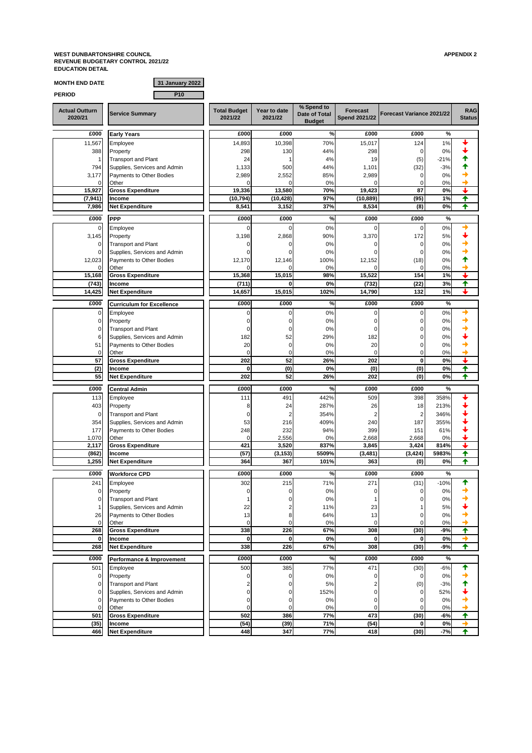**WEST DUNBARTONSHIRE COUNCIL APPENDIX 2 REVENUE BUDGETARY CONTROL 2021/22 EDUCATION DETAIL**

**F** 

| <b>MONTH END DATE</b>            | 31 January 2022                        |                                |                         |                                              |                                         |                            |             |                             |
|----------------------------------|----------------------------------------|--------------------------------|-------------------------|----------------------------------------------|-----------------------------------------|----------------------------|-------------|-----------------------------|
| <b>PERIOD</b>                    | P <sub>10</sub>                        |                                |                         |                                              |                                         |                            |             |                             |
| <b>Actual Outturn</b><br>2020/21 | <b>Service Summary</b>                 | <b>Total Budget</b><br>2021/22 | Year to date<br>2021/22 | % Spend to<br>Date of Total<br><b>Budget</b> | <b>Forecast</b><br><b>Spend 2021/22</b> | Forecast Variance 2021/22  |             | <b>RAG</b><br><b>Status</b> |
| £000                             | <b>Early Years</b>                     | £000                           | £000                    | %                                            | £000                                    | £000                       | %           |                             |
| 11,567                           | Employee                               | 14,893                         | 10,398                  | 70%                                          | 15,017                                  | 124                        | 1%          |                             |
| 388                              | Property                               | 298                            | 130                     | 44%                                          | 298                                     | $\mathbf 0$                | 0%          | ┹                           |
| 1                                | <b>Transport and Plant</b>             | 24                             | $\mathbf{1}$            | 4%                                           | 19                                      | (5)                        | $-21%$      | ↑                           |
| 794                              | Supplies, Services and Admin           | 1,133                          | 500                     | 44%                                          | 1,101                                   | (32)                       | $-3%$       |                             |
| 3,177                            | Payments to Other Bodies               | 2,989                          | 2,552                   | 85%                                          | 2,989                                   | 0                          | 0%          |                             |
| C                                | Other                                  | n                              | $\Omega$                | 0%                                           | C                                       | $\mathbf 0$                | 0%          |                             |
| 15,927                           | <b>Gross Expenditure</b>               | 19,336                         | 13,580                  | 70%<br>97%                                   | 19,423                                  | 87<br>(95)                 | 0%<br>1%    | ✦                           |
| (7, 941)<br>7,986                | Income<br><b>Net Expenditure</b>       | (10, 794)<br>8,541             | (10, 428)<br>3,152      | 37%                                          | (10, 889)<br>8,534                      | (8)                        | 0%          | ♠                           |
|                                  |                                        |                                |                         |                                              |                                         |                            |             |                             |
| £000                             | <b>PPP</b>                             | £000                           | £000                    | %                                            | £000                                    | £000                       | %           |                             |
| $\mathbf 0$                      | Employee                               | $\Omega$                       | $\Omega$                | 0%                                           | C                                       | $\mathbf 0$                | 0%          | →                           |
| 3,145                            | Property                               | 3,198                          | 2,868                   | 90%                                          | 3,370                                   | 172                        | 5%          | ┹                           |
| 0                                | <b>Transport and Plant</b>             | 0                              | $\Omega$                | 0%                                           | C                                       | 0                          | 0%          | →                           |
| $\mathbf 0$                      | Supplies, Services and Admin           | O                              | 0                       | 0%                                           | C                                       | $\mathbf 0$                | 0%          | ♠                           |
| 12,023<br>$\Omega$               | Payments to Other Bodies<br>Other      | 12,170                         | 12,146<br>$\Omega$      | 100%<br>0%                                   | 12,152<br>C                             | (18)<br>$\mathbf 0$        | 0%<br>0%    | →                           |
| 15,168                           | <b>Gross Expenditure</b>               | 15,368                         | 15.015                  | 98%                                          | 15,522                                  | 154                        | 1%          | ┹                           |
| (743)                            | Income                                 | (711)                          | 0                       | 0%                                           | (732)                                   | (22)                       | 3%          | ✦                           |
| 14,425                           | <b>Net Expenditure</b>                 | 14,657                         | 15,015                  | 102%                                         | 14,790                                  | 132                        | 1%          | ┶                           |
| £000                             |                                        | £000                           | £000                    | %                                            | £000                                    | £000                       | %           |                             |
|                                  | <b>Curriculum for Excellence</b>       |                                |                         |                                              |                                         |                            |             |                             |
| $\mathbf 0$<br>$\mathbf 0$       | Employee<br>Property                   | 0<br>0                         | 0<br>0                  | 0%<br>0%                                     | 0<br>0                                  | $\mathbf 0$<br>$\mathbf 0$ | 0%<br>0%    | →<br>→                      |
| $\mathbf 0$                      | <b>Transport and Plant</b>             | 0                              | 0                       | 0%                                           | 0                                       | $\mathbf 0$                | 0%          |                             |
| 6                                | Supplies, Services and Admin           | 182                            | 52                      | 29%                                          | 182                                     | 0                          | 0%          |                             |
| 51                               | Payments to Other Bodies               | 20                             | $\mathbf 0$             | 0%                                           | 20                                      | $\mathbf 0$                | 0%          |                             |
| 0                                | Other                                  | $\mathbf 0$                    | $\mathbf 0$             | 0%                                           | $\mathbf 0$                             | 0                          | 0%          |                             |
| 57                               | <b>Gross Expenditure</b>               | 202                            | 52                      | 26%                                          | 202                                     | $\bf{0}$                   | 0%          | ┹                           |
| (2)                              | Income                                 | 0                              | (0)                     | 0%                                           | (0)                                     | (0)                        | 0%          | ↟                           |
| 55                               | <b>Net Expenditure</b>                 | 202                            | 52                      | 26%                                          | 202                                     | (0)                        | 0%          | ✦                           |
| £000                             | <b>Central Admin</b>                   | £000                           | £000                    | %                                            | £000                                    | £000                       | %           |                             |
| 113                              | Employee                               | 111                            | 491                     | 442%                                         | 509                                     | 398                        | 358%        |                             |
| 403                              | Property                               | 8                              | 24                      | 287%                                         | 26                                      | 18                         | 213%        |                             |
| $\mathbf 0$                      | <b>Transport and Plant</b>             | $\mathbf 0$                    | $\overline{2}$          | 354%                                         | $\overline{\mathbf{c}}$                 | $\overline{\mathbf{c}}$    | 346%        |                             |
| 354                              | Supplies, Services and Admin           | 53                             | 216                     | 409%                                         | 240                                     | 187                        | 355%        |                             |
| 177                              | Payments to Other Bodies               | 248                            | 232                     | 94%                                          | 399                                     | 151                        | 61%         |                             |
| 1,070                            | Other                                  | $\mathbf 0$                    | 2,556                   | 0%                                           | 2,668                                   | 2,668                      | 0%          |                             |
| 2,117                            | <b>Gross Expenditure</b>               | 421                            | 3,520                   | 837%                                         | 3,845                                   | 3,424                      | 814%        |                             |
| (862)<br>1,255                   | Income                                 | (57)<br>364                    | (3, 153)<br>367         | 5509%<br>101%                                | (3, 481)<br>363                         | (3, 424)<br>(0)            | 5983%<br>0% | ✦<br>✦                      |
|                                  | <b>Net Expenditure</b>                 |                                |                         |                                              |                                         |                            |             |                             |
| £000                             | <b>Workforce CPD</b>                   | £000                           | £000                    | ℅                                            | £000                                    | £000                       | %           |                             |
| 241                              | Employee                               | 302                            | 215                     | $1\%$                                        | 2/1                                     | (31)                       | $-10%$      |                             |
| 0                                | Property                               | 0                              | 0                       | $0\%$                                        | 0                                       | $\pmb{0}$                  | 0%          |                             |
| $\mathbf 0$                      | <b>Transport and Plant</b>             | 1                              | 0                       | 0%                                           | 1                                       | 0                          | $0\%$       | →                           |
| $\mathbf 1$                      | Supplies, Services and Admin           | 22                             | 2                       | 11%                                          | 23                                      | 1                          | 5%          |                             |
| 26                               | Payments to Other Bodies               | 13                             | 8<br>$\Omega$           | 64%                                          | 13                                      | 0                          | 0%          | →                           |
| 0<br>268                         | Other<br><b>Gross Expenditure</b>      | $\mathbf 0$<br>338             | 226                     | 0%<br>67%                                    | $\mathbf 0$<br>308                      | 0<br>(30)                  | 0%<br>-9%   | ✦                           |
| 0                                | Income                                 | 0                              | $\bf{0}$                | 0%                                           | 0                                       | 0                          | 0%          | →                           |
| 268                              | <b>Net Expenditure</b>                 | 338                            | 226                     | 67%                                          | 308                                     | (30)                       | -9%         | ✦                           |
|                                  |                                        |                                |                         |                                              |                                         |                            |             |                             |
| £000                             | Performance & Improvement              | £000                           | £000                    | ℅                                            | £000                                    | £000                       | $\%$        |                             |
| 501                              | Employee                               | 500                            | 385                     | 77%                                          | 471                                     | (30)                       | $-6%$       | ♠                           |
| 0<br>O                           | Property<br><b>Transport and Plant</b> | 0<br>2                         | 0                       | 0%<br>5%                                     | 0                                       | $\Omega$                   | 0%<br>$-3%$ | →<br>↟                      |
| $\Omega$                         | Supplies, Services and Admin           | 0                              | 0<br>0                  | 152%                                         | 2<br>0                                  | (0)<br>$\mathbf 0$         | 52%         |                             |
| $\Omega$                         | Payments to Other Bodies               | 0                              | 0                       | 0%                                           | 0                                       | 0                          | 0%          | →                           |
| $\Omega$                         | Other                                  | $\mathbf 0$                    | 0                       | 0%                                           | 0                                       | 0                          | 0%          | →                           |
| 501                              | <b>Gross Expenditure</b>               | 502                            | 386                     | 77%                                          | 473                                     | (30)                       | -6%         | ✦                           |
| (35)                             | Income                                 | (54)                           | (39)                    | 71%                                          | (54)                                    | 0                          | 0%          | →                           |
| 466                              | <b>Net Expenditure</b>                 | 448                            | 347                     | 77%                                          | 418                                     | (30)                       | $-7%$       | ✦                           |